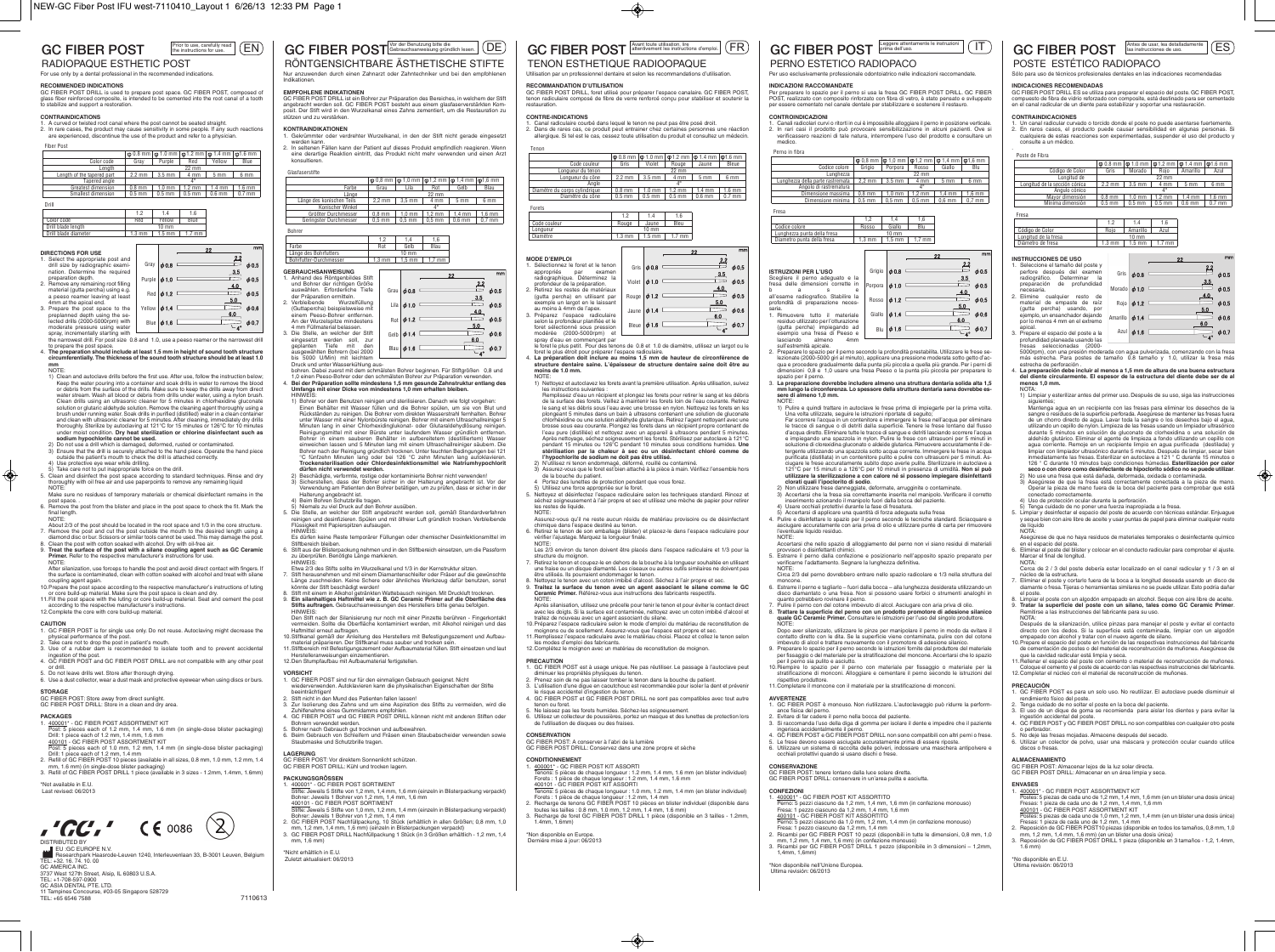

2. In rare cases, the product may cause sensitivity in some people. If any such reactions are experienced, discontinue the use of the product and refer to a physician.

|                            |          |                   |                  | $\phi$ 0.8 mm $\phi$ 1.0 mm $\phi$ 1.2 mm $\phi$ 1.4 mm $\phi$ 1.6 mm |          |
|----------------------------|----------|-------------------|------------------|-----------------------------------------------------------------------|----------|
| Color code                 | Grav     | Purple            | Red              | Yellow                                                                | Blue     |
| Lenath                     |          |                   |                  |                                                                       |          |
| Length of the tapered part | $2.2$ mm | $3.5 \text{ mm}$  | 4 mm             | 5 <sub>mm</sub>                                                       | 6 mm     |
| Tapered angle              |          |                   |                  |                                                                       |          |
| Greatest dimension         | $0.8$ mm | 1.0 <sub>mm</sub> | $1.2 \text{ mm}$ | $1.4 \text{ mm}$                                                      | $1.6$ mm |
| Smallest dimension         | $0.5$ mm | $0.5$ mm          | $0.5$ mm         | $0.6$ mm                                                              | $0.7$ mm |



### **DIRECTIONS FOR USE** . Select the appropriate post and

| drill size by radiographic exami-    |                   | Gray $\phi$ 0.8 |            | φ0                  |
|--------------------------------------|-------------------|-----------------|------------|---------------------|
| nation. Determine the required       |                   |                 | <u>3.5</u> |                     |
| preparation depth.                   | Purple $\phi$ 1.0 |                 |            | $\phi$ 0            |
| 2. Remove any remaining root filling |                   |                 | <u>4.0</u> |                     |
| material (gutta percha) using e.g.   |                   | Red $\phi$ 1.2  |            | $\phi$ <sub>0</sub> |
| a peeso reamer leaving at least      |                   |                 | 5.0        |                     |
| 4mm at the apical end.               |                   |                 |            |                     |
| 3. Prepare the post space to the     | Yellow $\phi$ 1.4 |                 |            | φ0                  |
| preplanned depth using the se-       |                   |                 | 6.0        |                     |
| lected drills (2000-5000rpm) with    | Blue              | $\phi$ 1.6      |            | φO                  |
| moderate pressure using water        |                   |                 |            |                     |
| spray, incrementally starting with   |                   |                 |            |                     |
|                                      |                   |                 |            |                     |

spray, incrementally starting with the narrowest drill. For post size 0.8 and 1.0, use a peeso reamer or the narrowest drill to prepare the post space. 4. **The preparation should include at least 1.5 mm in height of sound tooth structure**

**circumferentially. The thickness of the sound tooth structure should be at least 1.0 mm**

VOTE.<br>1) Claan and autoclava drille bafora tha firet usa. Aftar usa, follow tha instruction balow 1) Clean and autoclave drills before the first use. After use, follow the instruction below;<br>Keep the water pouring into a container and soak drills in water to remove the blood<br>or debris from the surface of the drills. Ma Clean drills using an ultrasonic cleaner for 5 minutes in chlorhexidine gluconate solution or glutaric aldehyde solution. Remove the cleaning agent thoroughly using a brush under running water. Soak drills in purified (distilled) water in a clean container and clean with ultrasonic cleaner for 5 minutes. After cleaning, immediately dry drills thoroughly. Sterilize by autoclaving at 121°C for 15 minutes or 126°C for 10 minutes

- under moist condition. **Dry heat sterilization or chlorine disinfectant such as solium hypochlorite cannot be used.**<br>2) Do not use a drill which is damaged, deformed, rusted or contaminated.<br>3) Ensure that the drill is sec
- 
- 5. Clean and disinfect the post space according to standard techniques. Rinse and dry thoroughly with oil free air and use paperpoints to remove any remaining liquid
- NOTE:<br>
More sure no residues of temporary materials or chemical disinfectant remains in the Make sure no residues of temporary materials or chemical disinfectant remains in the<br>post space. .<br>6. Remove the post from the blister and place in the post space to check the fit. Mark the<br>final length.
- NOTE: About 2/3 of the post should be located in the root space and 1/3 in the core structure.
- 7. Remove the post and cut the post outside the mouth to the desired length using a diamond disc or bur. Scissors or similar tools cannot be used.This may damage the post.
- 8. Clean the post with cotton soaked with alcohol. Dry with oil-free air.<br>9. **Treat the surface of the post with a silane coupling agent such as GC Ceramic Primer.** Primer instructions the manufacturer's instruction NOTE:
- After silanization, use forceps to handle the post and avoid direct contact with fingers. If the surface is contaminated, clean with cotton soaked with alcohol and treat with silane
- coupling agent again. 10.Prepare the post space according to the respective manufacturer's instructions of luting
- or core build-up material. Make sure the post space is clean and dry.<br>11.Fill the post space with the luting or core build-up material. Seat and cement the post<br>1.Fill the post space with the luting or core build-up materi

- **CAUTION** 1. GC FIBER POST is for single use only. Do not reuse. Autoclaving might decrease the
- physical performance of the post. 2. Take care not to drop the post in patient's mouth. 3. Use of a rubber dam is recommended to isolate tooth and to prevent accidental
- 
- ingestion of the post. 4. GC FIBER POST and GC FIBER POST DRILL are not compatible with any other post
- or drill. 5. Do not leave drills wet. Store after thorough drying. 6. Use a dust collector, wear a dust mask and protective eyewear when using discs or burs.

### **STORAGE**

GC FIBER POST: Store away from direct sunlight. GC FIBER POST DRILL: Store in a clean and dry area.

- **PACKAGES**<br>1. 400001\* GC FIBER POST ASSORTMENT KIT<br>Post: 5 pieces each of 1.2 mm, 1.4 mm, 1.6 mm (in single-dose blister packaging)<br>Drill: 1 piece each of 1.2 mm, 1.4 mm, 1.6 mm<br>400101 GC FIBER POST ASSORTMENT KIT<br>4001
- 
- Post: 5 pieces each of 1.0 mm, 1.2 mm, 1.4 mm (in single-dose blister packaging) Drill: 1 piece each of 1.2 mm, 1.4 mm 2. Refill of GC FIBER POST 10 pieces (available in all sizes, 0.8 mm, 1.0 mm, 1.2 mm, 1.4
- mm, 1.6 mm) (in single-dose blister packaging) 3. Refill of GC FIBER POST DRILL 1 piece (available in 3 sizes 1.2mm, 1.4mm, 1.6mm)

\*Not available in E.U. Last revised: 06/2013

 $IGC.$  (  $60086$  $\left( \mathcal{S}\right)$ DISTRIBUTED BY

EU :GC EUROPE N.V. █████ Researchpark Haasrode-Leuven 1240, Interleuvenlaan 33, B-3001 Leuven, Belgium<br>TEL: +32. 16. 74. 10. 00<br>GC AMERICA INC.<br>3737 West 127th Street, Alsip, IL 60803 U.S.A. TEL: +1-708-597-0900 GC ASIA DENTAL PTE. LTD. 11 Tampines Concourse, #03-05 Singapore 528729 TEL: +65 6546 7588 7110613

## Vor der Benutzung bitte die **Element Constant (DE)** GC FIBER POST Avant toute utilisation, lire d'emploi.  $\overline{\text{E}}$  GC FIBER POST TENON ESTHETIQUE RADIOOPAQUE

GC FIBER POST Vor der Benutzung bitte die

Farbe

1,2 1,4 1,6 Farbe Rot Gelb Blau

Indikationen.

stützen und zu verstärken.

**GEBRAUCHSANWEISUNG** Anhand des Röntgenbildes Stift<br>und Bohrer der richtigen Größe und Bohrer der richtigen Größe<br>auswählen. Erforderliche Tiefe<br>der Präparation ermitteln.<br>Verbleibende Wurzelfüllung auswählen. Erforderliche Tiefe der Präparation ermitteln. 2. Verbleibende Wurzelfüllung (Guttapercha) beispielsweise mit einem Peeso-Bohrer entfernen. An der Wurzelspitze mindestens

Länge des Bohrfutters

4 mm Füllmaterial belassen. 3. Die Stelle, an welcher der Stift eingesetzt werden soll, zur geplanten Tiefe mit den<br>ausgewählten Robrern (bei 2000

Halterung angebracht ist.<br>4) Beim Bohren Schutzbrille tragen.

Herstelleranweisungen einzementieren. 12.Den Stumpfaufbau mit Aufbaumaterial fertigstellen.

beeinträchtigen! 2. Stift nicht in den Mund des Patienten fallen lassen!

**LAGERUNG**<br>GC FIBER POST: Vor direktem Sonnenlicht schützen.<br>GC FIBER POST DRILL: Kühl und trocken lagern.

Bohrer: Jeweils 1 Bohrer von 1,2 mm, 1,4 mm, 1,6 mm 400101 - GC FIBER POST SORTIMENT

station von Schutzbrille tragen.<br>Urbmaske und Schutzbrille tragen

**PACKUNGSGRÖSSEN**

\*Nicht erhältlich in E.U. Zuletzt aktualisiert: 06/2013

HINWEIS:

konsultieren.

Glasfaserstifte

Bohrer

 $^{2.2}$ 

RÖNTGENSICHTBARE ÄSTHETISCHE STIFTE

Nur anzuwenden durch einen Zahnarzt oder Zahntechniker und bei den empfohlene

**EMPFOHLENE INDIKATIONEN**<br>GC FIBER POST DRILL ist ein Bohrer zur Präparation des Bereiches, in welchem der Stift<br>angebracht werden soll. GC FIBER POST besteht aus einem glasfaserverstärkten Kom-<br>posit. Der Stift wird in de

**KONTRAINDIKATIONEN**<br>1. Gekrümmter oder verdrehter Wurzelkanal, in den der Stift nicht gerade eingesetzt 1. Gekrummter oder verdrehter Wurzelkanal, in den der Stitt nicht gerade eingesetzt<br>- werden kann.<br>2. In seltenen Fällen kann der Patient auf dieses Produkt empfindlich reagieren. Wenn<br>- eine derartige Reaktion eintritt, d

Länge 22 mm Länge des konischen Teils 2,2 mm 3,5 mm 4 mm 5 mm 6 mm Konischer Winkel 4° Größter Durchmesser 0,8 mm 1,0 mm 1,2 mm 1,4 mm 1,6 mm Geringster Durchmesser | 0,5 mm | 0,5 mm | 0,5 mm | 0,6 mm

0,8 mm | φ 1,0 mm | φ 1,2 mm | φ 1,4 mm | φ 1,6 mm<br>Grau | Lila | Rot | Gelb | Blau

 $22$ 

0,7 mm

 $\phi$ 0.5

 $60<sup>1</sup>$ 

 $\phi$ 0!

 $\equiv$  606

 $\frac{3.5}{1}$ 

 $-4.0$ 

 $-5.0$ 

 $60$  $\phi$ 0.

ausgewählten Bohren (bei 2000<br>
bis 5000 U/Min) mit leichtem<br>
Druck und unter Wasserkühlung aus-<br>
Druck und unter Wasserkühlung aus-<br>
1,0 einen Peeso-Bohrer oder den schmälsten Bohrer zur Präparation verwenden.<br>
4. Bei der

Grau

 $\left\vert \phi\right\vert$   $\phi$  1.2  $\left\vert \right\vert$ Gelb  $\phi$  1.4  $B$ lau  $\phi$ 16  $\Box$ 

Lila  $\phi$  1.0  $\equiv$ 

 $\left| \right\rangle$   $\left| \right\rangle$   $\left| \right\rangle$   $\left| \right\rangle$ 

Bohrfutter-Durchmesser 1,3 mm 1,5 mm 1,7 mm

1) Bohrer vor dem Benutzen reinigen und sterilisieren. Danach wie folgt vorgehen: Einen Behälter mit Wasser füllen und die Bohrer spülen, um sie von Blut und Rückständen zu reinigen. Die Bohrer vom direkten Wasserstrahl fernhalten. Bohrer<br>unter Wasser mit einer Nylonbürste reinigen. Bohrer mit einem Ultraschallreiniger 5<br>Minuten Iang in einer Chlorhexidinglukonat- oder Glutaral

Reinigungsmittel mit einer Bürste unter laufendem Wasser gründlich entfernen.<br>Bohrer in einem sauberen Behälter in aufbereitettem (lestilliertem) Wasser<br>einweichen lassen und 5 Minuten lang mit einem Ultraschallreiniger sä

**dürfen nicht verwendet werden.**<br>2) Beschädigte, verformte, rostige oder kontaminierte Bohrer nicht verwenden!<br>3) Sicherstellen, dass der Bohrer sicher in der Halterung angebracht ist. Vor der Verwendung am Patienten den Bohrer betätigen, um zu prüfen, dass er sicher in der

4) Beim Bohren Schutzbrille tragen.<br>5) Niemals zu viel Druck auf den Bohrer ausüben.<br>5. Die Stelle, an welcher der Stift angebracht werden soll, gemäß Standardverfahren<br>Fürsigkert mit Papierspitzen aufsaugen.<br>Fürsigkeit mi HINWEIS:<br>Es dürfen keine Reste temporärer Füllungen oder chemischer Desinfektionsmittel im Stiftbereich bleiben.<br>6. Stift aus der Blisterpackung nehmen und in den Stiftbereich einsetzen, um die Passform<br>zu überprüfen. Benötigte Länge markieren.

гнич∨⊏нэ:<br>Etwa 2/3 des Stifts sollte im Wurzelkanal und 1/3 in der Kernstruktur sitzen.<br>Stift herausnehmen und mit einem Diamantenschleifer oder Fräser auf die gewünschte 7. Stift herausnehmen und mit einem Diamantenschleifer oder Fräser auf die gewünschte Länge zuschneiden. Keine Schere oder ähnliches Werkzeug dafür benutzen, sonst könnte der Stift beschädigt werden!<br>8. Stift mit einem in Alkohol getränkten Wattebausch reinigen. Mit Druckluft trocknen.<br>9. Ein silanhaltiges Haftmittel wie z. B. GC Ceramic Primer auf die Oberfläche des<br>5tifts auftragen Den Stift nach der Silanisierung nur noch mit einer Pinzette berühren - Fingerkontakt vermeiden. Sollte die Oberfläche kontaminiert werden, mit Alkohol reinigen und das Haftmittel erneut auftragen. 10.Stiftkanal gemäß der Anleitung des Herstellers mit Befestigungszement und Aufbaumaterial präparieren. Der Stiftkanal muss sauber und trocken sein. 11.Stiftbereich mit Befestigungszement oder Aufbaumaterial füllen. Stift einsetzen und laut

**VORSICHT**<br>1. GC FIBER POST sind nur für den einmaligen Gebrauch geeignet. Nicht<br>wiederverwenden. Autoklavieren kann die physikalischen Eigenschaften der Stifte

3. Zur Isolierung des Zahns und um eine Aspiration des Stifts zu vermeiden, wird die Zuhilfenahme eines Gummidamms empfohlen. 4. GC FIBER POST und GC FIBER POST DRILL können nicht mit anderen Stiften oder

1.  $\frac{400001^*}{200001^*}$  - GC FIBER POST SORTIMENT<br>Stifte: Jeweils 5 Stifte von 1,2 mm, 1,4 mm, 1,6 mm (einzeln in Blisterpackung verpackt)

Bohrer: Jeweils 1 Bohrer von 1,2 mm, 1,4 mm<br>2. GC FIBER POST Nachfüllpackung, 10 Stück (erhältlich in allen Größen; 0,8 mm, 1,0<br>1.2 mm, 1,2 mm, 1,4 mm, 1,6 mm) (einzeln in Blisterpackungen verpackt)<br>3. GC FIBER POST DRILL

Stifte: Jeweils 5 Stifte von 1,0 mm, 1,2 mm, 1,4 mm (einzeln in Blisterpackung verpackt)

**RECOMMANDATION D'UTILISATION<br>GC FIBER POST DRILL, foret utilisé pour préparer l'espace canalaire. GC FIBER POST,<br>tenon radiculaire composé de fibre de verre renforcé conçu pour stabiliser et soutenir la** restauration.

Utilisation par un professionnel dentaire et selon les recommandations d'utilisation.

### **CONTRE-INDICATIONS**

- 1. Canal radiculaire courbé dans lequel le tenon ne peut pas être posé droit. 2. Dans de rares cas, ce produit peut entrainer chez certaines personnes une réaction alIergique. Si tel est le cas, cessez toute utilisation du produit et consultez un médecin.
- Tenon  $\boxed{\phi$  0.8 mm  $\boxed{\phi}$  1.0 mm  $\boxed{\phi}$  1.2 mm  $\boxed{\phi}$  1.4 mm  $\boxed{\phi}$  1.6 mm Code couleur Gris Violet Rouge Jaune Bleue<br>Longueur du tenon 22 mm Longueur du tenon 22 mm Longueur du cône 2.2 mm 3.5 mm 4 mm 5 mm 6 mm Angle Angle 4°<br>Diamètre du corps cylindrique 0.8 mm | 1.0 mm | 1.2 mm | 1.4 mm | 1.6 mm Diamètre du cône | 0.5 mm | 0.5 mm | 0.5 mm | 0.6 mm 0.7 mm



| <b>MODE D'EMPLOI</b>                                                    |        |                   |            |
|-------------------------------------------------------------------------|--------|-------------------|------------|
| 1. Sélectionnez le foret et le tenon<br>appropriés<br>examen<br>par     | Gris   | 0.8               | $\phi$ 0.5 |
| radiographique. Déterminez la<br>profondeur de la préparation.          | Violet | 3.5<br>$\phi$ 1.0 | 0.5        |
| 2. Retirez les restes de matériaux                                      |        | 4.0               |            |
| (gutta percha) en utilisant par<br>exemple un largot en le laissant     | Rouge  | $\phi$ 1.2<br>5.0 | $\phi$ 0.5 |
| au moins à 4mm de l'apex.                                               | Jaune  | $\phi$ 1.4        | 0.6        |
| 3. Préparez l'espace radiculaire<br>selon la profondeur planifiée et le |        | 6.0               |            |
| foret sélectionné sous pression<br>et                                   | Bleue  | $\phi$ 1.6        | $\phi$ 0.7 |
| modérée (2000-5000rpm)<br>www.calles.camparameter.com/                  |        |                   |            |

- spray d'eau en commençant par le foret le plus petit. Pour des tenons de 0.8 et 1.0 de diamètre, utilisez un largot ou le foret le plus étroit pour préparer l'espace radiculaire.<br>4. La préparation doit inclure au moins 1,5 mm de hauteur de circonférence de **structure dentaire saine. L'épaisseur de structure dentaire saine doit être au**
- **moins de 1.0 mm.**
	- NOTE: 1) Nettoyez et autoclavez les forets avant la première utilisation. Après utilisation, suivez
	- les instructions suivantes :<br>Remplissez d'eau un récipient et plongez les forets pour retirer le sang et les débris<br>de la surface des forets. Veillez à maintenir les forets loin de l'eau courante. Retirez<br>le sang et les dé chlorhéxidine ou une solution aldéhyde glutarique. Retirez l'agent nettoyant avec une brosse sous eau courante. Plongez les forets dans un récipient propre contenant de l'eau pure (distillée) et nettoyez avec un appareil à ultrasons pendant 5 minutes<br>Après nettoyage, séchez soigneusement les forets. Stérilisez par autoclave à 121°C<br>pendant 15 minutes ou 126°C pendant 10 minutes sous condi
- " I'**hypochlorite de sodium ne doit pas être utilisé.**<br>2) N'utilisez ni tenon endommagé, déformé, rouillé ou contaminé.<br>3) Assurez-vous que le foret est bien attaché à la pièce à main. Vérifiez l'ensemble hors
- de la bouche du patient. 4 Portez des lunettes de protection pendant que vous forez.
- 
- 5) Utilisez une force appropriée sur le foret. 5. Nettoyez et désinfectez l'espace radiculaire selon les techniques standard. Rincez et séchez soigneusement à l'air propre et sec et utilisez une mèche de papier pour retirer les restes de liquide. NOTE:
- 
- Assurez-vous qu'il ne reste aucun résidu de matériau provisoire ou de désinfectant<br>chimique dans l'espace destiné au tenon.<br>6. Retirez le tenon de son emballage (blister) et placez-le dans l'espace radiculaire pour<br>vérifie
- NOTE: Les 2/3 environ du tenon doivent être placés dans l'espace radiculaire et 1/3 pour la
- structure du moignon. 7. Retirez le tenon et coupez-le en dehors de la bouche à la longueur souhaitée en utilisant une fraise ou un disque diamanté. Les ciseaux ou autres outils similaires ne doivent pas
- être utilisés. Ils pourraient endommager le tenon. 8. Nettoyez le tenon avec un coton imbibé d'alcool. Séchez à l'air propre et sec. 9. **Traitez la surface du tenon avec un agent associant le silane comme le GC**
- **Ceramic Primer**. Référez-vous aux instructions des fabricants respectifs.<br>NOTE:<br>Après silanisation, utilisez une précelle pour tenir le tenon et pour éviter le contact direct
- avec les doigts. Si la surface est contaminée, nettoyez avec un coton imbibé d'alcool et<br>traitez de nouveau avec un agent associant du silane.<br>10. Préparez l'espace radiculaire selon le mode d'emploi du matériau de reconst 11.Remplissez l'espace radiculaire avec le matériau choisi. Placez et collez le tenon selon
- les modes d'emploi des fabricants. 12.Complétez le moignon avec un matériau de reconstitution de moignon.

- **PRECAUTION**<br>1. GC FIRER POST est à usage unique. Ne pas réutiliser Le passage à l'autoclave peut 1. GC FIBER POST est à usage unique. Ne pas réutiliser. Le passage à l'autoclave peut<br>diminuer les propriétés physiques du tenon.<br>2. Prenez soin de ne pas laisser tomber le tenon dans la bouche du patient.<br>3. L'utilisation
- le risque accidentel d'ingestion du tenon. 4. GC FIBER POST et GC FIBER POST DRILL ne sont pas compatibles avec tout autre
- tenon ou foret. 5. Ne laissez pas les forets humides. Séchez-les soigneusement.
- 6. Utilisez un collecteur de poussières, portez un masque et des lunettes de protection lors de l'utilisation de disques ou des fraises.

# Bohrern verwendet werden.<br>5. Bohrer nach Gebrauch gut trocknen und aufbewahren.<br>6. Beim Gebrauch von Schleifern und Fräsen einen Staubabscheider verwenden sowie

**CONSERVATION** GC FIBER POST: A conserver à l'abri de la lumière GC FIBER POST DRILL: Conservez dans une zone propre et sèche

- **CONDITIONNEMENT**<br>1. 4<u>00001\*</u> GC FIBER POST KIT ASSORTI<br>Tenons: 5 pièces de chaque longueur : 1.2 mm, 1.4 mm, 1.6 mm (en blister individuel) Forets : 1 pièce de chaque longueur : 1.2 mm, 1.4 mm, 1.6 mm 400101 - GC FIBER POST KIT ASSORTI
- Tenons: 5 pièces de chaque longueur : 1.0 mm, 1.2 mm, 1.4 mm (en blister individuel)
- Forets : 1 pièce de chaque longueur : 1.2 mm, 1.4 mm<br>2. Recharge de tenons GC FIBER POST 10 pièces en blister individuel (disponible dans<br>toutes les tailles : 0.8 mm, 1.0 mm, 1.2 mm, 1.4 mm, 1.6 mm)<br>3. Recharge de foret GC
- 
- \*Non disponible en Europe. Derniére mise á jour: 06/2013

## PERNO ESTETICO RADIOPACO Leggere attentamente le instruzion<br>prima dell'uso.

mente professionale odontoiatrico nelle indicazioni raccomandate INDICAZIONI RACCOMANDATE<br>Per preparare lo spazio per il perno si usa la fresa GC FIBER POST DRILL. GC FIBER<br>POST, realizzato con composito rinforzato con fibra di vetro, è stato pensato e sviluppato<br>per essere cementato ne

 $\overline{11}$   $\overline{1}$   $\overline{1}$   $\overline{1}$   $\overline{1}$   $\overline{1}$   $\overline{1}$   $\overline{1}$   $\overline{1}$   $\overline{1}$   $\overline{1}$   $\overline{1}$   $\overline{1}$   $\overline{1}$   $\overline{1}$   $\overline{1}$   $\overline{1}$   $\overline{1}$   $\overline{1}$   $\overline{1}$   $\overline{1}$   $\overline{1}$   $\overline{1}$   $\overline{1}$   $\overline$ POSTE ESTÉTICO RADIOPACO

consulte a un médico.

Código de Color<br>Longitud de

Poste de Fibra

Fresa

**INSTRUCCIONES DE USO** Seleccione el tamaño del poste y perfore después del examente radiográfico. Determinar la<br>proporoción de profundidod preparación de profundidad necesaria. 2. Elimine cualquier resto de material de empaste de raíz (gutta percha) usando, por ejemplo, un ensanchador dejando por lo menos 4 mm en el extremo apical. 3. Prepare el espacio del poste a la profundidad planeada usando las fresas seleccionadas (2000-

Código de Color<br>Longitud de la fresa

**menos 1,0 mm.**

de líquido<br>NOTA:

NOTA:

discos o fresas.

\*No disponible en E.U. Última revisión: 06/2013

**ENVASES**

Marcar el final de longitud

Sólo para uso de técnicos profesionales dentales en las indicaciones recomendada **INDICACIONES RECOMENDADAS** GC FIBER POST DRILL ES se utiliza para preparar el espacio del poste. GC FIBER POST, compuesto de fibra de vidrio reforzado con composite, está destinado para ser cementado en el canal radicular de un diente para estabilizar y soportar una restauración. **CONTRAINDICACIONES** 1. Un canal radicular curvado o torcido donde el poste no puede asentarse fuertemente. 2. En raros casos, el producto puede causar sensibilidad en algunas personas. Si cualquiera de estas reacciones son experimentadas, suspender el uso del producto y

0.8 mm |  $\phi$  1.0 mm |  $\phi$  1.2 mm |  $\phi$  1.4 mm |  $\phi$  1.6 mm<br>Gris | Morado | Rojo | Amarillo | Azul

 $22$ 

 $\overrightarrow{23}$ 

 $3.5$ 

 $-4.0$ 

 $5.0$ 

 $6.0$ 

 $\overline{L_{A}}$ 

 $\phi$ 0.5

 $0.65$ 

 $\phi$ 0.5

 $\phi$ 0.6

 $\phi$ 0.7

5000rpm), con una presión moderada con agua pulverizada, comenzando con la fresa más estrecha. Para postes de tamaño 0.8 tamaño y 1.0, utilizar la fresa más<br>estrecha de perforación .<br>4. La preparación debe incluir al menos a 1,5 mm de altura de una buena estructura<br>del diente circularmente. El espesor

Gris  $\phi$ 08

 $1.4$ Rojo Amarillo Azul

 $\frac{10 \text{ min}}{1.3 \text{ mm} + 1.5 \text{ mm} + 1.7 \text{ mm}}$ 

Longitud de 22 mm Longitud de la sección cónica 2.2 mm 3.5 mm 4 mm 5 mm 6 mm Ángulo cónico 4° Mayor dimensión 0.8 mm 1.0 mm 1.2 mm 1.4 mm 1.6 mm Mínima dimensión | 0.5 mm | 0.5 mm | 0.5 mm | 0.6 mm | 0.7 mm

Morado  $\phi$  1.0

Rojo  $\phi$ 1.2 Amarillo  $\phi$  1.4 Azul  $\phi$  1.6  $\overline{0}$ 

NOTA: 1) Limpiar y esterilizar antes del primer uso. Después de su uso, siga las instrucciones siguientes; Mantenga agua en un recipiente con las fresas para eliminar los desechos de la sangre o residuos de la superficie perforada. Asegúrese de mantener las fresas fuera<br>de un chorro directo de agua. Lavar toda la sangre o los desechos bajo el agua.<br>utilizando un cepillo de nylon. Limpieza de las fresas us

durante 5 minutos en solución de gluconato de clorhexidina o una solución de capada conrente. Remoje en un recipiente limpico agua corrente. Remoje en un recipiente limpico en apudar con limpicar con limpicar con limpicar

Operar la pieza de mano fuera de la boca del paciente para comprobar que está

4) Uso de protección ocular durante la perforación.<br>5) Tenga cuidado de no poner una fuerza inapropiada a la fresa.<br>5. Limpiar y desinfectar el espacio del poste de acuerdo con técnicas estándar. Enjuague<br>6. y seque bien c

.com.<br>Isegúrese de que no haya residuos de materiales temporales o desinfectante químic en el espacio del poste. 6. Eliminar el poste del blister y colocar en el conducto radicular para comprobar el ajuste.

NOTA:<br>Cerca de 2 / 3 del poste debería estar localizado en el canal radicular y 1 / 3 en el<br>núcleo de la estructura núcleo de la estructura. 7. Eliminar el poste y cortarlo fuera de la boca a la longitud deseada usando un disco de diamante o fresa.Tijeras o herramientas similares no se puede utilizar.Esto podría dañar

el poste.<br>B. Limpiar el poste con un algodón empapado en alcohol. Seque con aire libre de aceite.<br>9. Tratar la superficie del poste con un silano, tales como GC Ceramic Primer<br>Remitirse a las instrucciones del fabricante p Después de la silanización, utilice pinzas para manejar el poste y evitar el contacto directo con los dedos. Si la superficie está contaminada, limpiar con un algodór<br>empapado con alcohol y tratar con el nuevo agente de silano.<br>10. Prepare el espacio del poste en función de las respectivas instrucciones del

que la cavidad radicular está limpia y seca.<br>11.Rellenar el espacio del poste con cemento o material de reconstrucción de muñones<br>Coloque el cemento y el poste de acuerdo con las respectivas instrucciones del fabricante<br>12

**PRECAUCIÓN** 1. GC FIBER POST es para un solo uso. No reutilizar. El autoclave puede disminuir el

3. El uso de un dique de goma se recomienda para aislar los dientes y para evitar la ingestión accidental del poste. 4. GC FIBER POST y GC FIBER POST DRILL no son compatibles con cualquier otro poste

Postes: 5 piezas de cada uno de 1,2 mm, 1,4 mm, 1,6 mm (en un blister una dosis única)<br>Fresas: 1 pieza de cada uno de 1,2 mm, 1,4 mm, 1,6 mm<br><u>400101</u> - GC FIBER POST ASSORTMENT KIT Postes: 5 piezas de cada uno de 1,0 mm, 1,2 mm, 1,4 mm (en un blister una dosis única) Fresas: 1 pieza de cada uno de 1,2 mm, 1,4 mm 2. Reposición de GC FIBER POST10 piezas (disponible en todos los tamaños, 0,8 mm, 1,0 mm, 1,2 mm, 1,4 mm, 1,6 mm) (en un blister una dosis única) 3. Reposición de GC FIBER POST DRILL 1 pieza (disponible en 3 tamaños - 1,2, 1.4mm, 1.6 mm)

se nocas mojasas. A masono doplaco do cocado.<br>n colector de polvo, usar una máscara y protección ocular cuando utilice

rendimiento físico del poste. 2. Tenga cuidado de no soltar el poste en la boca del paciente.

o perforador. 5. No deje las fresas mojadas. Almacene después del secado.

**ALMACENAMIENTO** GC FIBER POST: Almacenar lejos de la luz solar directa. GC FIBER POST DRILL: Almacenar en un área limpia y seca.

100001\* - GC FIBER POST ASSORTMENT KIT

conectado correctamente.<br>Uso de profección ocular durante la perforación

**CONTROINDICAZIONI** 1. Canali radicolari curvi o ritorti in cui è impossibile alloggiare il perno in posizione verticale. 2. In rari casi il prodotto può provocare sensibilizzazione in alcuni pazienti. Ove si verificassero reazioni di tale natura, interrompere l'uso del prodotto e consultare un medico. Perno in fibra

### $\begin{array}{|c|c|c|c|c|}\n\hline\n\phi & \phi & 0,8 & \text{mm} & \phi & 1,0 & \text{mm} & \phi & 1,2 & \text{mm} & \text{m} & \phi & 1,4 & \text{mm} & \phi & 1,6 & \text{mm} \\
\hline\n\text{Codice colore} & \text{Grigio} & \text{Porpora} & \text{Rosso} & \text{Giallo} & \text{Blu} & \text{Blu} \\
\hline\n\end{array}$ Lunghezza 22 mm Lunghezza della parte rastremata 2,2 mm 3.5 mm 4 mm 5 mm 6 mm Angolo di rastrematura | 0,8 mm | 1,0 mm | 1,2 mm | 1,4 mm | 1,6 mm Dimensione minima | 0,5 mm | 0,5 mm | 0,6 mm 0,7 mm Fresa

1,2 1,4 1,6<br>Codice colore Rosso Giallo Blu Lunghezza punta della fresa<br>Diametro punta della fresa 10 mm 115 mm 17 mm ametro punta della fresa



sull'estremità apicale.<br>2. Preparare lo spazio per il perno secondo la profondità prestabilita. Utilizzare le frese se-<br>lezionate (2000-5000 giri al minuto), applicare una pressione moderata sotto getto d'ac-<br>qua e procede

spazio per il perno.<br>3. La preparazione dovrebbe includere almeno una struttura dentaria solida alta 1,5<br>mm lungo la circonferenza. Lo spessore della struttura dentaria sana dovrebbe es-<br>sere di almeno 1,0 mm. NOTE:

- vor L.<br>1) Pulire e quindi trattare in autoclave le frese prima di impiegarle per la prima volta.<br>1) Una volta utilizzate, sequire le istruzioni riportate di sequito:
- Una volta utilizzate, seguire le istruzioni riportate di seguito;<br>Far scorrere l'acqua in un contenitore e immergere le frese nell'acqua per eliminare<br>le tracce di sangue o di detriti dalla superficie. Tenere le frese lont e impiegando una spazzola in nylon. Puirle le frese con ultrasuoni per 5 minuti il detergente utilizzando una spazzola sotto acqua corrente. Immergere le frese in acqua<br>tergente utilizzando una spazzola sotto acqua corrent
- 
- 
- 4) Usare occhiali protettivi durante la fase di fresatura.<br>5) Accertarsi di applicare una quantità di forza adeguata sulla fresa<br>4. Pulire e disinfettare lo spazio per il perno secondo le tecniche standard. Sciacquare a<br>4.
- Accertarsi che nello spazio di alloggiamento del perno non vi siano residui di materiali
- provvisori o disinfettanti chimici. 5. Estrarre il perno dalla confezione e posizionarlo nell'apposito spazio preparato per verificarne l'adattamento. Segnare la lunghezza definitiva. NOTE:
- Circa 2/3 del perno dovrebbero entrare nello spazio radicolare e 1/3 nella struttura del 6. Estrarre il perno e tagliarlo – fuori dalla bocca – alla lunghezza desiderata utilizzando un
- 
- 6. Estrare il permo etagliarlo fuori dalla bocca alla lunghezza desiderata utilizzando ura<br>disco diamantato o una fresa. Non si possono usare forbici o strumenti analoghi ir<br>quanto potrebbero rovinare il perno.<br>7. Puli
- Dopo aver silanizzato, utilizzare le pinze per manipolare il perno in modo da evitare il
- contatto diretto con le dita. Se la superficie viene contaminata, pulire con del cotone<br>imbevuto di alcol e trattare nuovamente con il promotore di adesione silanico.<br>9. Preparare lo spazio per il perno secondo le istruzio per fissaggio o del materiale per la stratificazione del moncone. Accertarsi che lo spazio
- per il perno sia pulito e asciutto. 10.Riempire lo spazio per il perno con materiale per fissaggio o materiale per la stratificazione di monconi. Alloggiare e cementare il perno secondo le istruzioni del
- rispettivo produttore. 11.Completare il moncone con il materiale per la stratificazione di monconi.

**CONSERVAZIONE**

1,4mm, 1,6mm)

\*Non disponibile nell'Unione Europea. Ultima revisión: 06/2013

**CONFEZIONI**

- **AVVERTENZE** 1. GC FIBER POST è monouso. Non riutilizzare. L'autoclavaggio può ridurre la performance fisica del perno. 2. Evitare di far cadere il perno nella bocca del paziente.
- 3. Si raccomanda l'uso della diga di gomma per isolare il dente e impedire che il paziente

GC FIBER POST: tenere lontano dalla luce solare diretta. GC FIBER POST DRILL: conservare in un'area pulita e asciutta.

1. 400001\* - GC FIBER POST KIT ASSORTITO Perno: 5 pezzi ciascuno da 1,2 mm, 1,4 mm, 1,6 mm (in confezione monouso) Fresa: 1 pezzo ciascuno da 1,2 mm, 1,4 mm, 1,6 mm

400101 - GC FIBER POST KIT ASSORTITO<br>Perno: 5 pezzi ciascuno da 1,0 mm, 1,2 mm, 1,4 mm (in confezione monouso)<br>Fresa: 1 pezzo ciascuno da 1,2 mm, 1,4 mm<br>2. Ricambi per GC FIBER POST 10 pezzi (disponibili in tutte le dimens mm, 1,2 mm, 1,4 mm, 1,6 mm) (in confezione monouso) 3. Ricambi per GC FIBER POST DRILL 1 pezzo (disponibile in 3 dimensioni – 1,2mm,

ingerisca accidentalmente il perno. 4. GC FIBER POST e GC FIBER POST DRILL non sono compatibili con altri perni o frese.<br>5. Le frese devono essere asciugate accuratamente prima di essere riposte.<br>6. Utilizzare un sistema di raccolta delle polveri, indossare